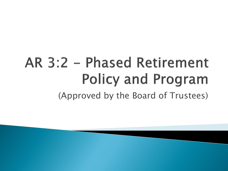# AR 3:2 - Phased Retirement **Policy and Program** (Approved by the Board of Trustees)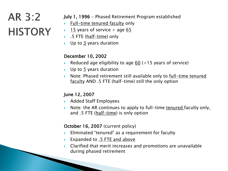### AR 3:2 **HISTORY**

#### July 1, 1996 - Phased Retirement Program established

- $\triangleright$  Full-time tenured faculty only
- $\rightarrow$  15 years of service + age 65
- ▶ .5 FTE (half-time) only
- Up to 3 years duration

#### December 10, 2002

- Reduced age eligibility to age 60  $(+15$  years of service)
- $\triangleright$  Up to 5 years duration
- $\triangleright$  Note: Phased retirement still available only to full-time tenured faculty AND .5 FTE (half-time) still the only option

#### June 12, 2007

- ▶ Added Staff Employees
- Note: the AR continues to apply to full-time tenured faculty only, and .5 FTE (half-time) is only option

#### October 16, 2007 (current policy)

- Eliminated "tenured" as a requirement for faculty
- ▶ Expanded to .5 FTE and above
- Clarified that merit increases and promotions are unavailable during phased retirement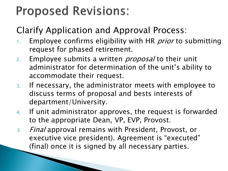### **Proposed Revisions:**

#### Clarify Application and Approval Process:

- 1. Employee confirms eligibility with HR *prior* to submitting request for phased retirement.
- 2. Employee submits a written *proposal* to their unit administrator for determination of the unit's ability to accommodate their request.
- 3. If necessary, the administrator meets with employee to discuss terms of proposal and bests interests of department/University.
- 4. If unit administrator approves, the request is forwarded to the appropriate Dean, VP, EVP, Provost.
- 5. Final approval remains with President, Provost, or executive vice president). Agreement is "executed" (final) once it is signed by all necessary parties.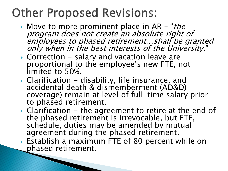### **Other Proposed Revisions:**

**CONTRACTOR** 

- Move to more prominent place in AR "*the* program does not create an absolute right of employees to phased retirement…shall be granted only when in the best interests of the University."
- $\triangleright$  Correction salary and vacation leave are proportional to the employee's new FTE, not limited to 50%.
- $\triangleright$  Clarification disability, life insurance, and accidental death & dismemberment (AD&D) coverage) remain at level of full-time salary prior to phased retirement.
- $\triangleright$  Clarification the agreement to retire at the end of the phased retirement is irrevocable, but FTE, schedule, duties may be amended by mutual agreement during the phased retirement.
- Establish a maximum FTE of 80 percent while on phased retirement.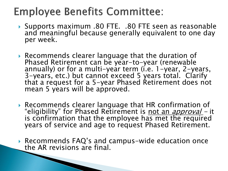### **Employee Benefits Committee:**

- Supports maximum .80 FTE. .80 FTE seen as reasonable and meaningful because generally equivalent to one day per week.
- Recommends clearer language that the duration of Phased Retirement can be year-to-year (renewable annually) or for a multi-year term (i.e. 1-year, 2-years, 3-years, etc.) but cannot exceed 5 years total. Clarify that a request for a 5-year Phased Retirement does not mean 5 years will be approved.
- Recommends clearer language that HR confirmation of "eligibility" for Phased Retirement is not an *approval* - it is confirmation that the employee has met the required years of service and age to request Phased Retirement.
- Recommends FAQ's and campus-wide education once the AR revisions are final.

**CONTRACTOR**